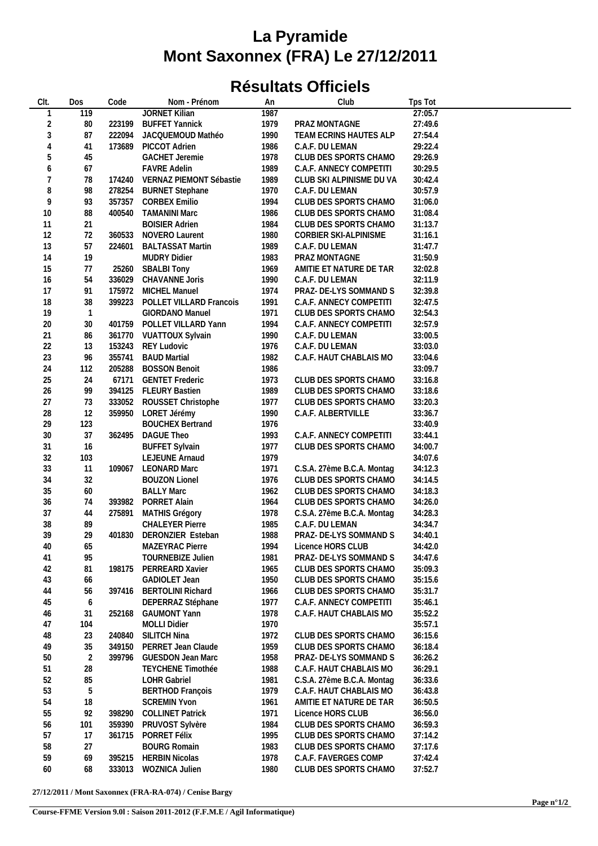## **La Pyramide Mont Saxonnex (FRA) Le 27/12/2011**

## **Résultats Officiels**

| Clt.           | Dos            | Code   | Nom - Prénom                   | An   | Club                       | Tps Tot |  |
|----------------|----------------|--------|--------------------------------|------|----------------------------|---------|--|
|                | 119            |        | <b>JORNET Kilian</b>           | 1987 |                            | 27:05.7 |  |
| $\overline{2}$ | $80\,$         | 223199 | <b>BUFFET Yannick</b>          | 1979 | PRAZ MONTAGNE              | 27:49.6 |  |
| 3              | 87             |        | 222094 JACQUEMOUD Mathéo       | 1990 | TEAM ECRINS HAUTES ALP     | 27:54.4 |  |
| 4              | 41             |        | 173689 PICCOT Adrien           | 1986 | C.A.F. DU LEMAN            | 29:22.4 |  |
| 5              | 45             |        | <b>GACHET Jeremie</b>          | 1978 | CLUB DES SPORTS CHAMO      | 29:26.9 |  |
| 6              | 67             |        | <b>FAVRE Adelin</b>            | 1989 | C.A.F. ANNECY COMPETITI    | 30:29.5 |  |
|                |                |        |                                |      |                            |         |  |
| 7              | 78             |        | 174240 VERNAZ PIEMONT Sébastie | 1989 | CLUB SKI ALPINISME DU VA   | 30:42.4 |  |
| 8              | 98             |        | 278254 BURNET Stephane         | 1970 | C.A.F. DU LEMAN            | 30:57.9 |  |
| 9              | 93             |        | 357357 CORBEX Emilio           | 1994 | CLUB DES SPORTS CHAMO      | 31:06.0 |  |
| 10             | 88             |        | 400540 TAMANINI Marc           | 1986 | CLUB DES SPORTS CHAMO      | 31:08.4 |  |
| 11             | 21             |        | <b>BOISIER Adrien</b>          | 1984 | CLUB DES SPORTS CHAMO      | 31:13.7 |  |
| 12             | 72             | 360533 | NOVERO Laurent                 | 1980 | CORBIER SKI-ALPINISME      | 31:16.1 |  |
| 13             | 57             | 224601 | <b>BALTASSAT Martin</b>        | 1989 | C.A.F. DU LEMAN            | 31:47.7 |  |
| 14             | 19             |        | <b>MUDRY Didier</b>            | 1983 | PRAZ MONTAGNE              | 31:50.9 |  |
| 15             | 77             |        | 25260 SBALBI Tony              | 1969 | AMITIE ET NATURE DE TAR    | 32:02.8 |  |
| 16             | 54             |        | 336029 CHAVANNE Joris          | 1990 | C.A.F. DU LEMAN            | 32:11.9 |  |
| 17             | 91             |        | 175972 MICHEL Manuel           | 1974 | PRAZ- DE-LYS SOMMAND S     | 32:39.8 |  |
| 18             | 38             | 399223 | POLLET VILLARD Francois        | 1991 | C.A.F. ANNECY COMPETITI    | 32:47.5 |  |
| 19             | $\overline{1}$ |        | GIORDANO Manuel                | 1971 | CLUB DES SPORTS CHAMO      | 32:54.3 |  |
| $20\,$         | $30\,$         |        | 401759 POLLET VILLARD Yann     | 1994 | C.A.F. ANNECY COMPETITI    | 32:57.9 |  |
| 21             |                |        |                                |      |                            | 33:00.5 |  |
|                | 86             |        | 361770 VUATTOUX Sylvain        | 1990 | C.A.F. DU LEMAN            |         |  |
| 22             | 13             |        | 153243 REY Ludovic             | 1976 | C.A.F. DU LEMAN            | 33:03.0 |  |
| 23             | 96             | 355741 | <b>BAUD Martial</b>            | 1982 | C.A.F. HAUT CHABLAIS MO    | 33:04.6 |  |
| 24             | 112            | 205288 | <b>BOSSON Benoit</b>           | 1986 |                            | 33:09.7 |  |
| 25             | 24             | 67171  | <b>GENTET Frederic</b>         | 1973 | CLUB DES SPORTS CHAMO      | 33:16.8 |  |
| 26             | 99             |        | 394125 FLEURY Bastien          | 1989 | CLUB DES SPORTS CHAMO      | 33:18.6 |  |
| 27             | 73             |        | 333052 ROUSSET Christophe      | 1977 | CLUB DES SPORTS CHAMO      | 33:20.3 |  |
| 28             | 12             |        | 359950 LORET Jérémy            | 1990 | C.A.F. ALBERTVILLE         | 33:36.7 |  |
| 29             | 123            |        | <b>BOUCHEX Bertrand</b>        | 1976 |                            | 33:40.9 |  |
| $30\,$         | 37             | 362495 | DAGUE Theo                     | 1993 | C.A.F. ANNECY COMPETITI    | 33:44.1 |  |
| 31             | 16             |        | <b>BUFFET Sylvain</b>          | 1977 | CLUB DES SPORTS CHAMO      | 34:00.7 |  |
| 32             | 103            |        | LEJEUNE Arnaud                 | 1979 |                            | 34:07.6 |  |
| 33             | 11             |        | 109067 LEONARD Marc            | 1971 | C.S.A. 27ème B.C.A. Montag | 34:12.3 |  |
| 34             | 32             |        | <b>BOUZON Lionel</b>           | 1976 | CLUB DES SPORTS CHAMO      | 34:14.5 |  |
|                |                |        |                                |      |                            |         |  |
| 35             | 60             |        | <b>BALLY Marc</b>              | 1962 | CLUB DES SPORTS CHAMO      | 34:18.3 |  |
| 36             | 74             |        | 393982 PORRET Alain            | 1964 | CLUB DES SPORTS CHAMO      | 34:26.0 |  |
| 37             | 44             |        | 275891 MATHIS Grégory          | 1978 | C.S.A. 27ème B.C.A. Montag | 34:28.3 |  |
| 38             | 89             |        | <b>CHALEYER Pierre</b>         | 1985 | C.A.F. DU LEMAN            | 34:34.7 |  |
| 39             | 29             |        | 401830 DERONZIER Esteban       | 1988 | PRAZ- DE-LYS SOMMAND S     | 34:40.1 |  |
| 40             | 65             |        | MAZEYRAC Pierre                | 1994 | Licence HORS CLUB          | 34:42.0 |  |
| 41             | 95             |        | TOURNEBIZE Julien              | 1981 | PRAZ- DE-LYS SOMMAND S     | 34:47.6 |  |
| 42             | 81             | 198175 | PERREARD Xavier                | 1965 | CLUB DES SPORTS CHAMO      | 35:09.3 |  |
| 43             | 66             |        | GADIOLET Jean                  | 1950 | CLUB DES SPORTS CHAMO      | 35:15.6 |  |
| 44             | 56             | 397416 | <b>BERTOLINI Richard</b>       | 1966 | CLUB DES SPORTS CHAMO      | 35:31.7 |  |
| 45             | 6              |        | DEPERRAZ Stéphane              | 1977 | C.A.F. ANNECY COMPETITI    | 35:46.1 |  |
| 46             | 31             | 252168 | <b>GAUMONT Yann</b>            | 1978 | C.A.F. HAUT CHABLAIS MO    | 35:52.2 |  |
| 47             | 104            |        | <b>MOLLI Didier</b>            | 1970 |                            | 35:57.1 |  |
| 48             | 23             |        | SILITCH Nina                   | 1972 | CLUB DES SPORTS CHAMO      | 36:15.6 |  |
|                |                | 240840 |                                |      |                            |         |  |
| 49             | 35             |        | 349150 PERRET Jean Claude      | 1959 | CLUB DES SPORTS CHAMO      | 36:18.4 |  |
| 50             | $\sqrt{2}$     | 399796 | <b>GUESDON Jean Marc</b>       | 1958 | PRAZ- DE-LYS SOMMAND S     | 36:26.2 |  |
| 51             | 28             |        | TEYCHENE Timothée              | 1988 | C.A.F. HAUT CHABLAIS MO    | 36:29.1 |  |
| 52             | 85             |        | <b>LOHR Gabriel</b>            | 1981 | C.S.A. 27ème B.C.A. Montag | 36:33.6 |  |
| 53             | 5              |        | <b>BERTHOD François</b>        | 1979 | C.A.F. HAUT CHABLAIS MO    | 36:43.8 |  |
| 54             | 18             |        | <b>SCREMIN Yvon</b>            | 1961 | AMITIE ET NATURE DE TAR    | 36:50.5 |  |
| 55             | 92             | 398290 | <b>COLLINET Patrick</b>        | 1971 | Licence HORS CLUB          | 36:56.0 |  |
| 56             | 101            | 359390 | PRUVOST Sylvère                | 1984 | CLUB DES SPORTS CHAMO      | 36:59.3 |  |
| 57             | 17             | 361715 | PORRET Félix                   | 1995 | CLUB DES SPORTS CHAMO      | 37:14.2 |  |
| 58             | 27             |        | <b>BOURG Romain</b>            |      | CLUB DES SPORTS CHAMO      |         |  |
|                |                |        |                                | 1983 |                            | 37:17.6 |  |
| 59             | 69             | 395215 | <b>HERBIN Nicolas</b>          | 1978 | C.A.F. FAVERGES COMP       | 37:42.4 |  |
| 60             | 68             |        | 333013 WOZNICA Julien          | 1980 | CLUB DES SPORTS CHAMO      | 37:52.7 |  |

**27/12/2011 / Mont Saxonnex (FRA-RA-074) / Cenise Bargy**